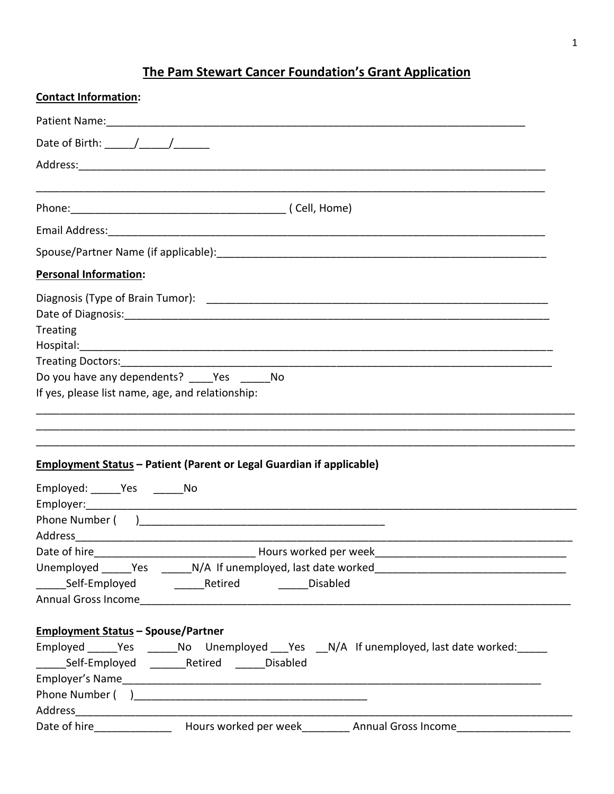## The Pam Stewart Cancer Foundation's Grant Application

| <b>Contact Information:</b>                                                                                                                                                                            |
|--------------------------------------------------------------------------------------------------------------------------------------------------------------------------------------------------------|
|                                                                                                                                                                                                        |
|                                                                                                                                                                                                        |
|                                                                                                                                                                                                        |
|                                                                                                                                                                                                        |
|                                                                                                                                                                                                        |
|                                                                                                                                                                                                        |
| <b>Personal Information:</b>                                                                                                                                                                           |
| <b>Treating</b><br>Do you have any dependents? Yes No<br>If yes, please list name, age, and relationship:                                                                                              |
| <b>Employment Status - Patient (Parent or Legal Guardian if applicable)</b>                                                                                                                            |
| Employed: _______ Yes ________ No                                                                                                                                                                      |
|                                                                                                                                                                                                        |
| Phone Number ( )                                                                                                                                                                                       |
| Address                                                                                                                                                                                                |
|                                                                                                                                                                                                        |
|                                                                                                                                                                                                        |
| <b>Employment Status - Spouse/Partner</b><br>Employed ______Yes _______No Unemployed ___Yes __N/A If unemployed, last date worked: _____<br>________Self-Employed ___________Retired _________Disabled |
|                                                                                                                                                                                                        |